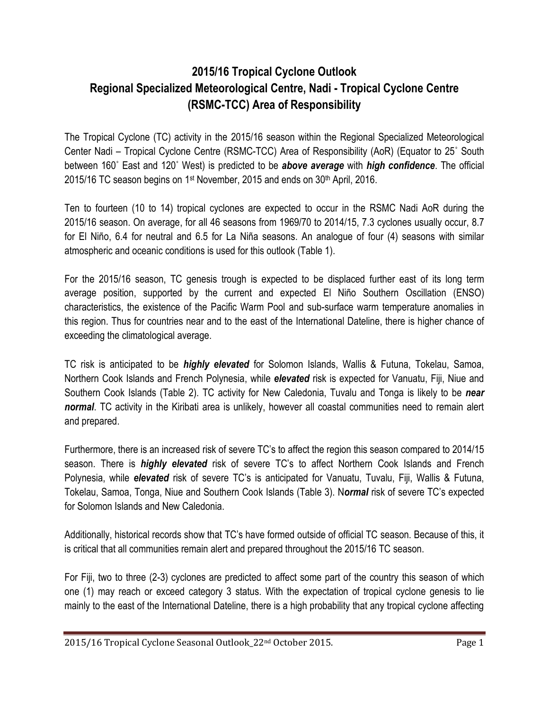## **2015/16 Tropical Cyclone Outlook Regional Specialized Meteorological Centre, Nadi - Tropical Cyclone Centre (RSMC-TCC) Area of Responsibility**

The Tropical Cyclone (TC) activity in the 2015/16 season within the Regional Specialized Meteorological Center Nadi – Tropical Cyclone Centre (RSMC-TCC) Area of Responsibility (AoR) (Equator to 25˚ South between 160˚ East and 120˚ West) is predicted to be *above average* with *high confidence*. The official 2015/16 TC season begins on 1<sup>st</sup> November, 2015 and ends on 30<sup>th</sup> April, 2016.

Ten to fourteen (10 to 14) tropical cyclones are expected to occur in the RSMC Nadi AoR during the 2015/16 season. On average, for all 46 seasons from 1969/70 to 2014/15, 7.3 cyclones usually occur, 8.7 for El Niño, 6.4 for neutral and 6.5 for La Niña seasons. An analogue of four (4) seasons with similar atmospheric and oceanic conditions is used for this outlook (Table 1).

For the 2015/16 season, TC genesis trough is expected to be displaced further east of its long term average position, supported by the current and expected El Niño Southern Oscillation (ENSO) characteristics, the existence of the Pacific Warm Pool and sub-surface warm temperature anomalies in this region. Thus for countries near and to the east of the International Dateline, there is higher chance of exceeding the climatological average.

TC risk is anticipated to be *highly elevated* for Solomon Islands, Wallis & Futuna, Tokelau, Samoa, Northern Cook Islands and French Polynesia, while *elevated* risk is expected for Vanuatu, Fiji, Niue and Southern Cook Islands (Table 2). TC activity for New Caledonia, Tuvalu and Tonga is likely to be *near normal*. TC activity in the Kiribati area is unlikely, however all coastal communities need to remain alert and prepared.

Furthermore, there is an increased risk of severe TC's to affect the region this season compared to 2014/15 season. There is *highly elevated* risk of severe TC's to affect Northern Cook Islands and French Polynesia, while *elevated* risk of severe TC's is anticipated for Vanuatu, Tuvalu, Fiji, Wallis & Futuna, Tokelau, Samoa, Tonga, Niue and Southern Cook Islands (Table 3). N*ormal* risk of severe TC's expected for Solomon Islands and New Caledonia.

Additionally, historical records show that TC's have formed outside of official TC season. Because of this, it is critical that all communities remain alert and prepared throughout the 2015/16 TC season.

For Fiji, two to three (2-3) cyclones are predicted to affect some part of the country this season of which one (1) may reach or exceed category 3 status. With the expectation of tropical cyclone genesis to lie mainly to the east of the International Dateline, there is a high probability that any tropical cyclone affecting

2015/16 Tropical Cyclone Seasonal Outlook\_22nd October 2015. Page 1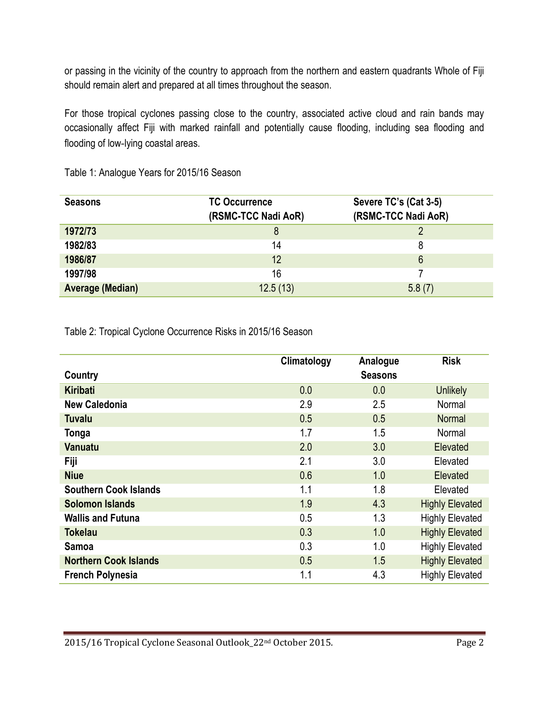or passing in the vicinity of the country to approach from the northern and eastern quadrants Whole of Fiji should remain alert and prepared at all times throughout the season.

For those tropical cyclones passing close to the country, associated active cloud and rain bands may occasionally affect Fiji with marked rainfall and potentially cause flooding, including sea flooding and flooding of low‐lying coastal areas.

| <b>Seasons</b>          | <b>TC Occurrence</b><br>(RSMC-TCC Nadi AoR) | Severe TC's (Cat 3-5)<br>(RSMC-TCC Nadi AoR) |
|-------------------------|---------------------------------------------|----------------------------------------------|
| 1972/73                 | 8                                           |                                              |
| 1982/83                 | 14                                          | 8                                            |
| 1986/87                 | 12                                          | 6                                            |
| 1997/98                 | 16                                          |                                              |
| <b>Average (Median)</b> | 12.5(13)                                    | 5.8(7)                                       |

Table 1: Analogue Years for 2015/16 Season

Table 2: Tropical Cyclone Occurrence Risks in 2015/16 Season

|                              | Climatology | Analogue       | <b>Risk</b>            |
|------------------------------|-------------|----------------|------------------------|
| Country                      |             | <b>Seasons</b> |                        |
| <b>Kiribati</b>              | 0.0         | 0.0            | <b>Unlikely</b>        |
| <b>New Caledonia</b>         | 2.9         | 2.5            | Normal                 |
| <b>Tuvalu</b>                | 0.5         | 0.5            | <b>Normal</b>          |
| Tonga                        | 1.7         | 1.5            | Normal                 |
| <b>Vanuatu</b>               | 2.0         | 3.0            | Elevated               |
| Fiji                         | 2.1         | 3.0            | Elevated               |
| <b>Niue</b>                  | 0.6         | 1.0            | Elevated               |
| <b>Southern Cook Islands</b> | 1.1         | 1.8            | Elevated               |
| <b>Solomon Islands</b>       | 1.9         | 4.3            | <b>Highly Elevated</b> |
| <b>Wallis and Futuna</b>     | 0.5         | 1.3            | <b>Highly Elevated</b> |
| <b>Tokelau</b>               | 0.3         | 1.0            | <b>Highly Elevated</b> |
| Samoa                        | 0.3         | 1.0            | <b>Highly Elevated</b> |
| <b>Northern Cook Islands</b> | 0.5         | 1.5            | <b>Highly Elevated</b> |
| <b>French Polynesia</b>      | 1.1         | 4.3            | <b>Highly Elevated</b> |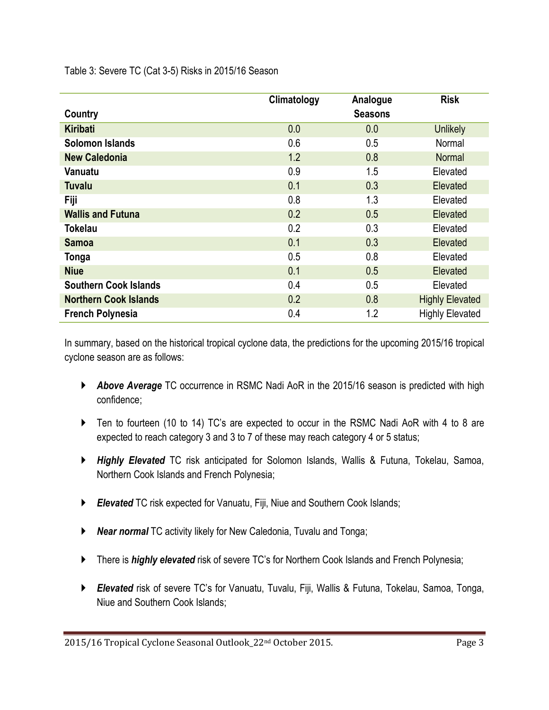Table 3: Severe TC (Cat 3-5) Risks in 2015/16 Season

|                              | Climatology | Analogue       | <b>Risk</b>            |
|------------------------------|-------------|----------------|------------------------|
| Country                      |             | <b>Seasons</b> |                        |
| <b>Kiribati</b>              | 0.0         | 0.0            | <b>Unlikely</b>        |
| <b>Solomon Islands</b>       | 0.6         | 0.5            | Normal                 |
| <b>New Caledonia</b>         | 1.2         | 0.8            | <b>Normal</b>          |
| Vanuatu                      | 0.9         | 1.5            | Elevated               |
| <b>Tuvalu</b>                | 0.1         | 0.3            | Elevated               |
| Fiji                         | 0.8         | 1.3            | Elevated               |
| <b>Wallis and Futuna</b>     | 0.2         | 0.5            | Elevated               |
| <b>Tokelau</b>               | 0.2         | 0.3            | Elevated               |
| <b>Samoa</b>                 | 0.1         | 0.3            | Elevated               |
| Tonga                        | 0.5         | 0.8            | Elevated               |
| <b>Niue</b>                  | 0.1         | 0.5            | Elevated               |
| <b>Southern Cook Islands</b> | 0.4         | 0.5            | Elevated               |
| <b>Northern Cook Islands</b> | 0.2         | 0.8            | <b>Highly Elevated</b> |
| <b>French Polynesia</b>      | 0.4         | 1.2            | <b>Highly Elevated</b> |

In summary, based on the historical tropical cyclone data, the predictions for the upcoming 2015/16 tropical cyclone season are as follows:

- *Above Average* TC occurrence in RSMC Nadi AoR in the 2015/16 season is predicted with high confidence;
- Ten to fourteen (10 to 14) TC's are expected to occur in the RSMC Nadi AoR with 4 to 8 are expected to reach category 3 and 3 to 7 of these may reach category 4 or 5 status;
- *Highly Elevated* TC risk anticipated for Solomon Islands, Wallis & Futuna, Tokelau, Samoa, Northern Cook Islands and French Polynesia;
- *Elevated* TC risk expected for Vanuatu, Fiji, Niue and Southern Cook Islands;
- *Near normal* TC activity likely for New Caledonia, Tuvalu and Tonga;
- **There is highly elevated** risk of severe TC's for Northern Cook Islands and French Polynesia;
- *Elevated* risk of severe TC's for Vanuatu, Tuvalu, Fiji, Wallis & Futuna, Tokelau, Samoa, Tonga, Niue and Southern Cook Islands;

2015/16 Tropical Cyclone Seasonal Outlook\_22nd October 2015. Page 3